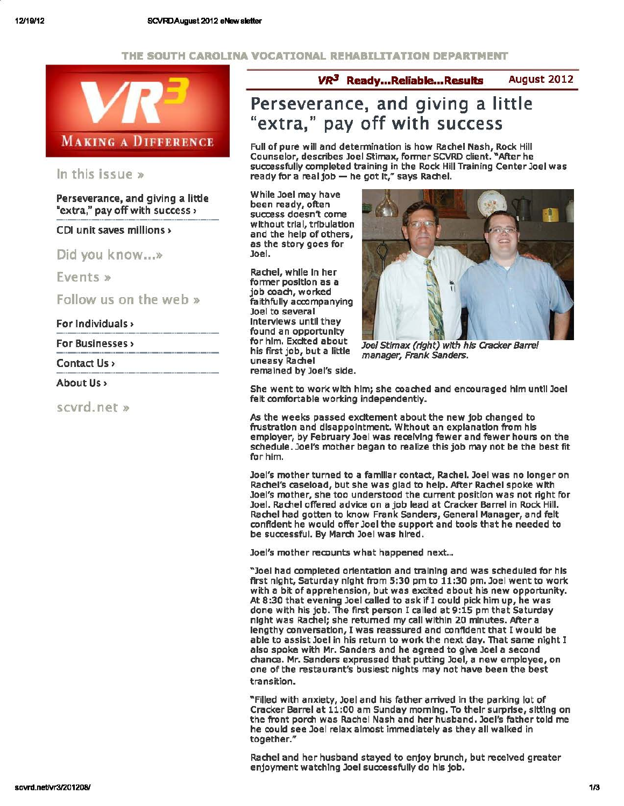#### THE SOUTH CAROLINA VOCATIONAL REHABILITATION DEPARTMENT



#### In this issue »

Perseverance, and giving a little "extra," pay off with success >

CDI unit saves millions>

Did you know...»

Events»

Follow us on the web»

For Individuals >

For Businesses >

Contact Us>

About Us>

scvrd. net »

 $VR<sup>3</sup>$  Ready...Reliable...Results August 2012

# Perseverance, and giving a little "extra," pay off with success

Full of pure will and determination is how Rachel Nash, Rock Hill Counselor, describes Joel Stimax, former SCVRD client. "After he successfully completed training in the Rock Hill Training Center Joel was ready for a real job  $-$  he got  $k$ ," says Rachel.

While Joel may have been ready, often success doesn't come without trial, trfbulatlon and the help of others, as the story goes for Joel.

Rachel, while In her former position as a job coach, worked faithfully accompanying Joel to several Interviews until they found an opportunity for him. Excited about his first job, but a little uneasy Rachel remained by Joel's side.



Joel Stimax (right) with his Cracker Barrel manager, Frank Sanders.

She went to work with him; she coached and encouraged him until Joel felt comfortable working independently.

As the weeks passed excitement about the new job changed to frustration and disappointment. Without an explanation from his employer, by February Joel was receiving fewer and fewer hours on the schedule. Joel's mother began to realize this job may not be the best fit for him.

Joel's mother turned to a familiar contact, Rachel. Joel was no longer on Rachel's caseload, but she was glad to help. After Rachel spoke with Joel's mother, she too understood the current position was not right for Joel. Rachel offered advice on a job lead at Cracker Barrel in Rock Hill. Rachel had gotten to know Frank Sanders, General Manager, and felt confident he would offer Joel the support and tools that he needed to be successful. By March Joel was hired.

Joel's mother recounts what happened next...

"'Joel had completed orfentatlon and training and was scheduled for his first night, Saturday night from 5:30 pm to 11:30 pm. Joel went to work with a bit of apprehension, but was excited a bout his new opportunity. At 8:30 that evening Joel called to ask if I could pick him up, he was done with his job. The first person I called at 9:15 pm that Saturday night was Rachel; she returned my call within 20 minutes. After a lengthy conversation, I was reassured and confident that I would be able to assist Joel in his return to work the next day. That same night I also spoke with Mr. Sanders and he agreed to give Joel a second chance. Mr. Sanders expressed that putting Joel, a new employee, on one of the restaurant's busiest nights may not have been the best transition.

"Filled with anxiety, Joel and his father arrived in the parking lot of Cracker Barrel at 11:00 am Sunday morning. To their surprise, sitting on the front porch was Rachel Nash and her husband. Joel's father told me he could see Joel relax almost immediately as they all walked in together."

Rachel and her husband stayed to enjoy brunch, but received greater enjoyment watching Joel successfully do his job.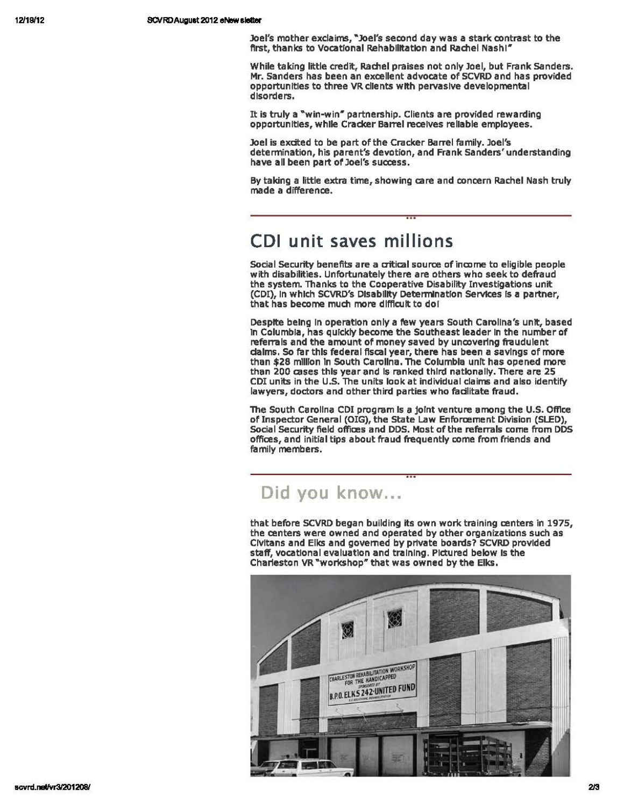Joel's mother exclaims, "Joel's second day was a stark contrast to the first, thanks to Vocational Rehabilitation and Rachel Nash!"

While taking little credit, Rachel praises not only Joel, but Frank sanders. Mr. Sanders has been an excellent advocate of SCVRD and has provided opportunities to three VRcllents with pervasive developmental disorders.

It is truly a "win-win" partnership. Clients are provided rewarding opportunities, while Cracker Barrel receives reliable employees.

Joel is exdted to be part of the Cracker Barrel family. Joel's determination, his parent's devotion, and Frank Sanders' understanding have all been part of Joel's success.

By taking a little extra time, showing care and concern Rachel Nash truly made a difference.

# **CDI unit saves millions**

Social Security benefits are a critical source of income to eligible people with disabilities. Unfortunately there are others who seek to defraud the system. Thanks to the Cooperative Disability Investigations unit (CDI), in which SCVRD's Disability Determination Services is a partner, that has become much more difficult to dol

Despite being In operation only a few years South Carolina's unit, based In Columbia, has quickly become the Southeast leader In the number of referrals and the amount of money saved by uncovering fraudulent claims. So far this federal fiscal year, there has been a savings of more than \$28 million In South Carolina. The Columbia unit has opened more than 200 cases this year and Is ranked third nationally. There are 25 CDI units in the U.S. The units look at individual claims and also identify lawyers, doctors and other third parties who facilitate fraud.

The South Carolina CDI program is a joint venture among the U.S. Office of Inspector General (OIG}, the State Law Enforcement Division (SLED), Social Security field offices and DDS. Most of the referrals come from DDS offices, and initial tips about fraud frequently come from friends and family members.

## Did you know...

that before SCVRD began building its own work training centers in 1975, the centers were owned and operated by other organizations such as Clvltans and Elks and governed by private boards? SCVRD provided staff, vocational evaluation and training. Pictured below Is the Charleston VR "workshop" that was owned by the Elks.